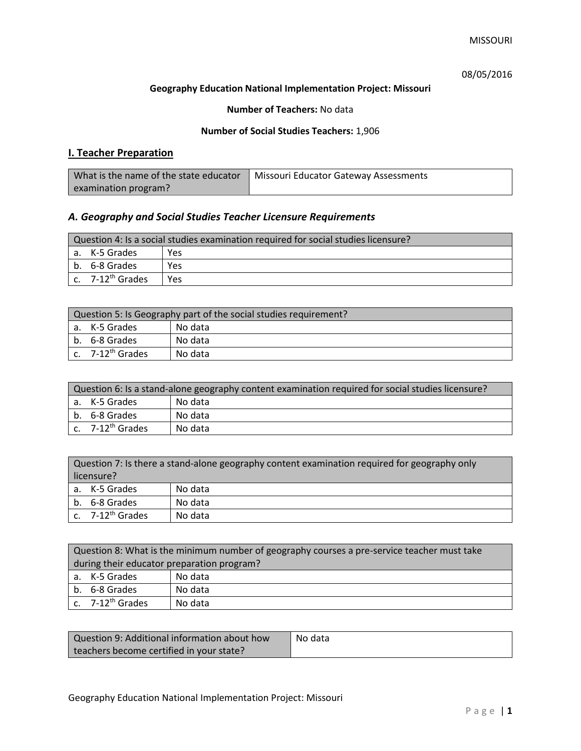# 08/05/2016

### **Geography Education National Implementation Project: Missouri**

### **Number of Teachers:** No data

### **Number of Social Studies Teachers:** 1,906

# **I. Teacher Preparation**

| What is the name of the state educator | Missouri Educator Gateway Assessments |
|----------------------------------------|---------------------------------------|
| examination program?                   |                                       |

# *A. Geography and Social Studies Teacher Licensure Requirements*

| Question 4: Is a social studies examination required for social studies licensure? |                              |     |
|------------------------------------------------------------------------------------|------------------------------|-----|
|                                                                                    | a. K-5 Grades                | Yes |
|                                                                                    | b. 6-8 Grades                | Yes |
|                                                                                    | c. 7-12 <sup>th</sup> Grades | Yes |

| Question 5: Is Geography part of the social studies requirement? |                              |         |
|------------------------------------------------------------------|------------------------------|---------|
|                                                                  | l a. K-5 Grades              | No data |
|                                                                  | b. 6-8 Grades                | No data |
|                                                                  | c. 7-12 <sup>th</sup> Grades | No data |

| Question 6: Is a stand-alone geography content examination required for social studies licensure? |         |  |
|---------------------------------------------------------------------------------------------------|---------|--|
| a. K-5 Grades                                                                                     | No data |  |
| b. 6-8 Grades                                                                                     | No data |  |
| $c.$ 7-12 <sup>th</sup> Grades                                                                    | No data |  |

|            | Question 7: Is there a stand-alone geography content examination required for geography only |         |  |
|------------|----------------------------------------------------------------------------------------------|---------|--|
| licensure? |                                                                                              |         |  |
|            | a. K-5 Grades                                                                                | No data |  |
|            | b. 6-8 Grades                                                                                | No data |  |
|            | c. 7-12 <sup>th</sup> Grades                                                                 | No data |  |

|                                            | Question 8: What is the minimum number of geography courses a pre-service teacher must take |         |  |
|--------------------------------------------|---------------------------------------------------------------------------------------------|---------|--|
| during their educator preparation program? |                                                                                             |         |  |
|                                            | a. K-5 Grades                                                                               | No data |  |
|                                            | b. 6-8 Grades                                                                               | No data |  |
|                                            | c. $7-12^{th}$ Grades                                                                       | No data |  |

| Question 9: Additional information about how | No data |
|----------------------------------------------|---------|
| teachers become certified in your state?     |         |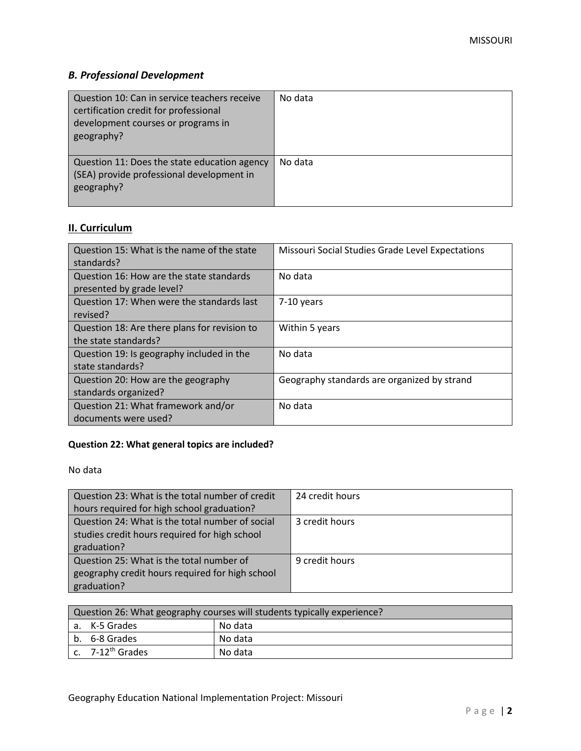# *B. Professional Development*

| Question 10: Can in service teachers receive<br>certification credit for professional<br>development courses or programs in<br>geography? | No data |
|-------------------------------------------------------------------------------------------------------------------------------------------|---------|
| Question 11: Does the state education agency<br>(SEA) provide professional development in<br>geography?                                   | No data |

# **II. Curriculum**

| Question 15: What is the name of the state<br>standards?              | Missouri Social Studies Grade Level Expectations |
|-----------------------------------------------------------------------|--------------------------------------------------|
| Question 16: How are the state standards<br>presented by grade level? | No data                                          |
| Question 17: When were the standards last<br>revised?                 | 7-10 years                                       |
| Question 18: Are there plans for revision to<br>the state standards?  | Within 5 years                                   |
| Question 19: Is geography included in the<br>state standards?         | No data                                          |
| Question 20: How are the geography<br>standards organized?            | Geography standards are organized by strand      |
| Question 21: What framework and/or<br>documents were used?            | No data                                          |

# **Question 22: What general topics are included?**

No data

| Question 23: What is the total number of credit | 24 credit hours |
|-------------------------------------------------|-----------------|
| hours required for high school graduation?      |                 |
| Question 24: What is the total number of social | 3 credit hours  |
| studies credit hours required for high school   |                 |
| graduation?                                     |                 |
| Question 25: What is the total number of        | 9 credit hours  |
| geography credit hours required for high school |                 |
| graduation?                                     |                 |

| Question 26: What geography courses will students typically experience? |                          |         |  |  |
|-------------------------------------------------------------------------|--------------------------|---------|--|--|
|                                                                         | No data<br>a. K-5 Grades |         |  |  |
|                                                                         | b. 6-8 Grades            | No data |  |  |
|                                                                         | c. $7-12^{th}$ Grades    | No data |  |  |